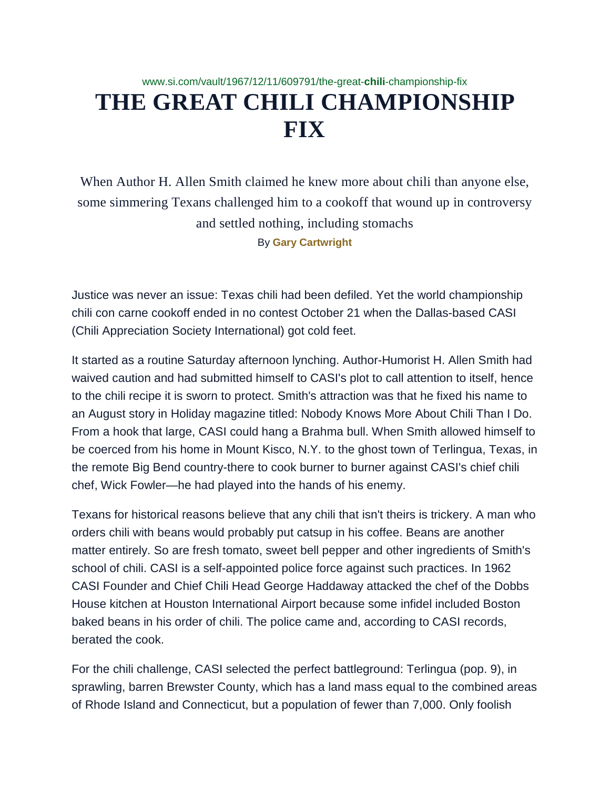## www.si.com/vault/1967/12/11/609791/the-great-**chili**-championship-fix **THE GREAT CHILI CHAMPIONSHIP FIX**

When Author H. Allen Smith claimed he knew more about chili than anyone else, some simmering Texans challenged him to a cookoff that wound up in controversy and settled nothing, including stomachs By **Gary [Cartwright](http://www.si.com/vault-authors/gary-cartwright)**

Justice was never an issue: Texas chili had been defiled. Yet the world championship chili con carne cookoff ended in no contest October 21 when the Dallas-based CASI (Chili Appreciation Society International) got cold feet.

It started as a routine Saturday afternoon lynching. Author-Humorist H. Allen Smith had waived caution and had submitted himself to CASI's plot to call attention to itself, hence to the chili recipe it is sworn to protect. Smith's attraction was that he fixed his name to an August story in Holiday magazine titled: Nobody Knows More About Chili Than I Do. From a hook that large, CASI could hang a Brahma bull. When Smith allowed himself to be coerced from his home in Mount Kisco, N.Y. to the ghost town of Terlingua, Texas, in the remote Big Bend country-there to cook burner to burner against CASI's chief chili chef, Wick Fowler—he had played into the hands of his enemy.

Texans for historical reasons believe that any chili that isn't theirs is trickery. A man who orders chili with beans would probably put catsup in his coffee. Beans are another matter entirely. So are fresh tomato, sweet bell pepper and other ingredients of Smith's school of chili. CASI is a self-appointed police force against such practices. In 1962 CASI Founder and Chief Chili Head George Haddaway attacked the chef of the Dobbs House kitchen at Houston International Airport because some infidel included Boston baked beans in his order of chili. The police came and, according to CASI records, berated the cook.

For the chili challenge, CASI selected the perfect battleground: Terlingua (pop. 9), in sprawling, barren Brewster County, which has a land mass equal to the combined areas of Rhode Island and Connecticut, but a population of fewer than 7,000. Only foolish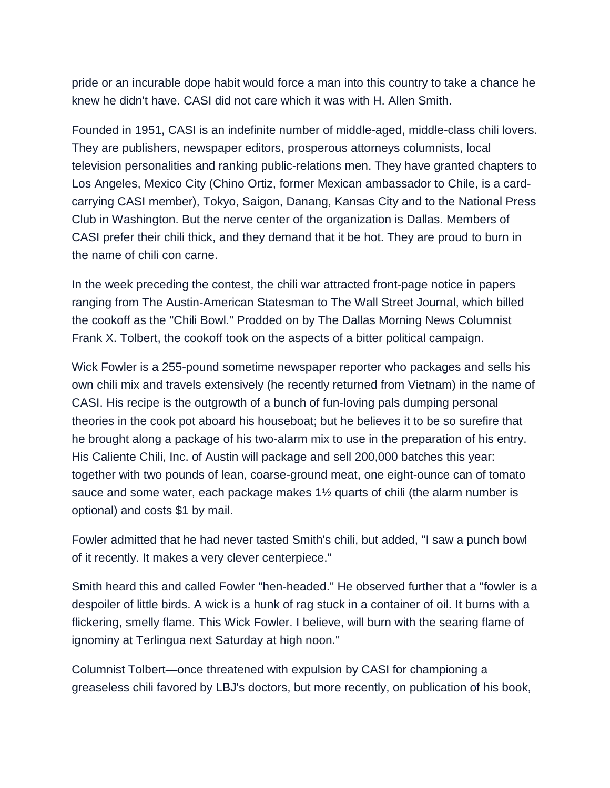pride or an incurable dope habit would force a man into this country to take a chance he knew he didn't have. CASI did not care which it was with H. Allen Smith.

Founded in 1951, CASI is an indefinite number of middle-aged, middle-class chili lovers. They are publishers, newspaper editors, prosperous attorneys columnists, local television personalities and ranking public-relations men. They have granted chapters to Los Angeles, Mexico City (Chino Ortiz, former Mexican ambassador to Chile, is a cardcarrying CASI member), Tokyo, Saigon, Danang, Kansas City and to the National Press Club in Washington. But the nerve center of the organization is Dallas. Members of CASI prefer their chili thick, and they demand that it be hot. They are proud to burn in the name of chili con carne.

In the week preceding the contest, the chili war attracted front-page notice in papers ranging from The Austin-American Statesman to The Wall Street Journal, which billed the cookoff as the "Chili Bowl." Prodded on by The Dallas Morning News Columnist Frank X. Tolbert, the cookoff took on the aspects of a bitter political campaign.

Wick Fowler is a 255-pound sometime newspaper reporter who packages and sells his own chili mix and travels extensively (he recently returned from Vietnam) in the name of CASI. His recipe is the outgrowth of a bunch of fun-loving pals dumping personal theories in the cook pot aboard his houseboat; but he believes it to be so surefire that he brought along a package of his two-alarm mix to use in the preparation of his entry. His Caliente Chili, Inc. of Austin will package and sell 200,000 batches this year: together with two pounds of lean, coarse-ground meat, one eight-ounce can of tomato sauce and some water, each package makes 1½ quarts of chili (the alarm number is optional) and costs \$1 by mail.

Fowler admitted that he had never tasted Smith's chili, but added, "I saw a punch bowl of it recently. It makes a very clever centerpiece."

Smith heard this and called Fowler "hen-headed." He observed further that a "fowler is a despoiler of little birds. A wick is a hunk of rag stuck in a container of oil. It burns with a flickering, smelly flame. This Wick Fowler. I believe, will burn with the searing flame of ignominy at Terlingua next Saturday at high noon."

Columnist Tolbert—once threatened with expulsion by CASI for championing a greaseless chili favored by LBJ's doctors, but more recently, on publication of his book,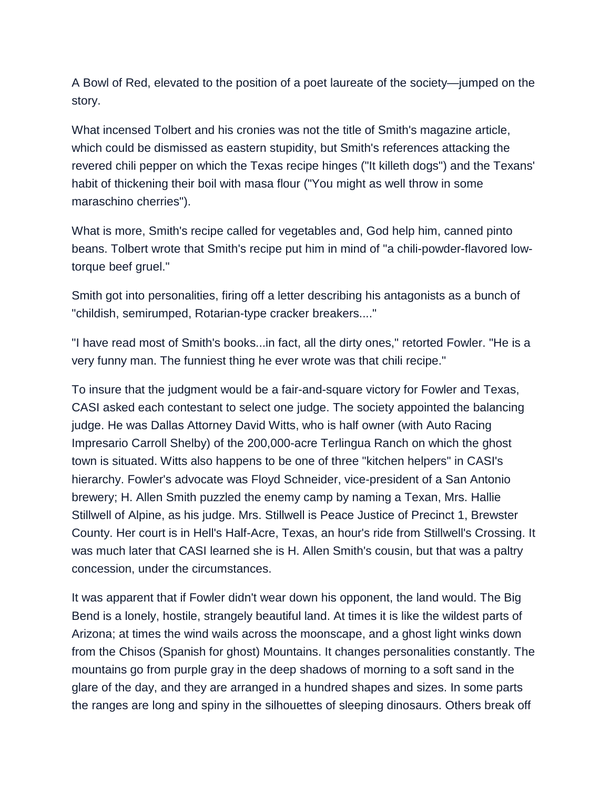A Bowl of Red, elevated to the position of a poet laureate of the society—jumped on the story.

What incensed Tolbert and his cronies was not the title of Smith's magazine article, which could be dismissed as eastern stupidity, but Smith's references attacking the revered chili pepper on which the Texas recipe hinges ("It killeth dogs") and the Texans' habit of thickening their boil with masa flour ("You might as well throw in some maraschino cherries").

What is more, Smith's recipe called for vegetables and, God help him, canned pinto beans. Tolbert wrote that Smith's recipe put him in mind of "a chili-powder-flavored lowtorque beef gruel."

Smith got into personalities, firing off a letter describing his antagonists as a bunch of "childish, semirumped, Rotarian-type cracker breakers...."

"I have read most of Smith's books...in fact, all the dirty ones," retorted Fowler. "He is a very funny man. The funniest thing he ever wrote was that chili recipe."

To insure that the judgment would be a fair-and-square victory for Fowler and Texas, CASI asked each contestant to select one judge. The society appointed the balancing judge. He was Dallas Attorney David Witts, who is half owner (with Auto Racing Impresario Carroll Shelby) of the 200,000-acre Terlingua Ranch on which the ghost town is situated. Witts also happens to be one of three "kitchen helpers" in CASI's hierarchy. Fowler's advocate was Floyd Schneider, vice-president of a San Antonio brewery; H. Allen Smith puzzled the enemy camp by naming a Texan, Mrs. Hallie Stillwell of Alpine, as his judge. Mrs. Stillwell is Peace Justice of Precinct 1, Brewster County. Her court is in Hell's Half-Acre, Texas, an hour's ride from Stillwell's Crossing. It was much later that CASI learned she is H. Allen Smith's cousin, but that was a paltry concession, under the circumstances.

It was apparent that if Fowler didn't wear down his opponent, the land would. The Big Bend is a lonely, hostile, strangely beautiful land. At times it is like the wildest parts of Arizona; at times the wind wails across the moonscape, and a ghost light winks down from the Chisos (Spanish for ghost) Mountains. It changes personalities constantly. The mountains go from purple gray in the deep shadows of morning to a soft sand in the glare of the day, and they are arranged in a hundred shapes and sizes. In some parts the ranges are long and spiny in the silhouettes of sleeping dinosaurs. Others break off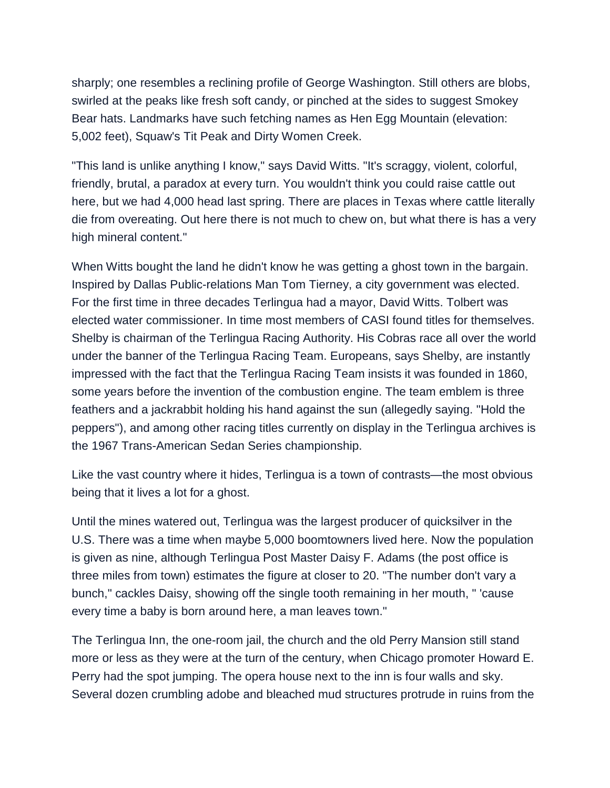sharply; one resembles a reclining profile of George Washington. Still others are blobs, swirled at the peaks like fresh soft candy, or pinched at the sides to suggest Smokey Bear hats. Landmarks have such fetching names as Hen Egg Mountain (elevation: 5,002 feet), Squaw's Tit Peak and Dirty Women Creek.

"This land is unlike anything I know," says David Witts. "It's scraggy, violent, colorful, friendly, brutal, a paradox at every turn. You wouldn't think you could raise cattle out here, but we had 4,000 head last spring. There are places in Texas where cattle literally die from overeating. Out here there is not much to chew on, but what there is has a very high mineral content."

When Witts bought the land he didn't know he was getting a ghost town in the bargain. Inspired by Dallas Public-relations Man Tom Tierney, a city government was elected. For the first time in three decades Terlingua had a mayor, David Witts. Tolbert was elected water commissioner. In time most members of CASI found titles for themselves. Shelby is chairman of the Terlingua Racing Authority. His Cobras race all over the world under the banner of the Terlingua Racing Team. Europeans, says Shelby, are instantly impressed with the fact that the Terlingua Racing Team insists it was founded in 1860, some years before the invention of the combustion engine. The team emblem is three feathers and a jackrabbit holding his hand against the sun (allegedly saying. "Hold the peppers"), and among other racing titles currently on display in the Terlingua archives is the 1967 Trans-American Sedan Series championship.

Like the vast country where it hides, Terlingua is a town of contrasts—the most obvious being that it lives a lot for a ghost.

Until the mines watered out, Terlingua was the largest producer of quicksilver in the U.S. There was a time when maybe 5,000 boomtowners lived here. Now the population is given as nine, although Terlingua Post Master Daisy F. Adams (the post office is three miles from town) estimates the figure at closer to 20. "The number don't vary a bunch," cackles Daisy, showing off the single tooth remaining in her mouth, " 'cause every time a baby is born around here, a man leaves town."

The Terlingua Inn, the one-room jail, the church and the old Perry Mansion still stand more or less as they were at the turn of the century, when Chicago promoter Howard E. Perry had the spot jumping. The opera house next to the inn is four walls and sky. Several dozen crumbling adobe and bleached mud structures protrude in ruins from the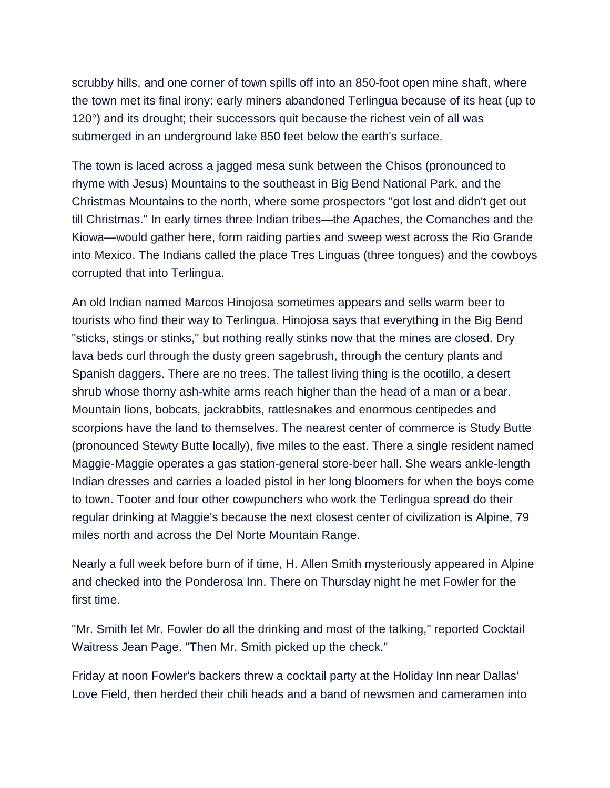scrubby hills, and one corner of town spills off into an 850-foot open mine shaft, where the town met its final irony: early miners abandoned Terlingua because of its heat (up to 120°) and its drought; their successors quit because the richest vein of all was submerged in an underground lake 850 feet below the earth's surface.

The town is laced across a jagged mesa sunk between the Chisos (pronounced to rhyme with Jesus) Mountains to the southeast in Big Bend National Park, and the Christmas Mountains to the north, where some prospectors "got lost and didn't get out till Christmas." In early times three Indian tribes—the Apaches, the Comanches and the Kiowa—would gather here, form raiding parties and sweep west across the Rio Grande into Mexico. The Indians called the place Tres Linguas (three tongues) and the cowboys corrupted that into Terlingua.

An old Indian named Marcos Hinojosa sometimes appears and sells warm beer to tourists who find their way to Terlingua. Hinojosa says that everything in the Big Bend "sticks, stings or stinks," but nothing really stinks now that the mines are closed. Dry lava beds curl through the dusty green sagebrush, through the century plants and Spanish daggers. There are no trees. The tallest living thing is the ocotillo, a desert shrub whose thorny ash-white arms reach higher than the head of a man or a bear. Mountain lions, bobcats, jackrabbits, rattlesnakes and enormous centipedes and scorpions have the land to themselves. The nearest center of commerce is Study Butte (pronounced Stewty Butte locally), five miles to the east. There a single resident named Maggie-Maggie operates a gas station-general store-beer hall. She wears ankle-length Indian dresses and carries a loaded pistol in her long bloomers for when the boys come to town. Tooter and four other cowpunchers who work the Terlingua spread do their regular drinking at Maggie's because the next closest center of civilization is Alpine, 79 miles north and across the Del Norte Mountain Range.

Nearly a full week before burn of if time, H. Allen Smith mysteriously appeared in Alpine and checked into the Ponderosa Inn. There on Thursday night he met Fowler for the first time.

"Mr. Smith let Mr. Fowler do all the drinking and most of the talking," reported Cocktail Waitress Jean Page. "Then Mr. Smith picked up the check."

Friday at noon Fowler's backers threw a cocktail party at the Holiday Inn near Dallas' Love Field, then herded their chili heads and a band of newsmen and cameramen into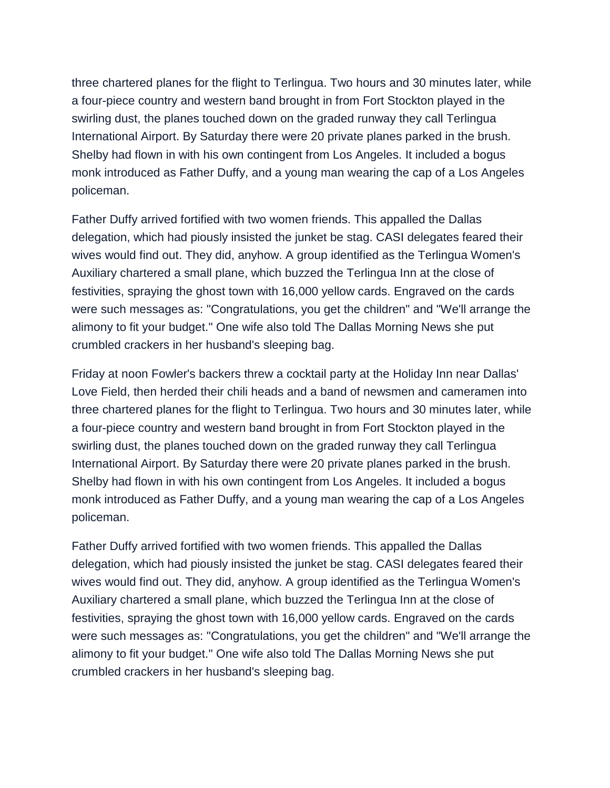three chartered planes for the flight to Terlingua. Two hours and 30 minutes later, while a four-piece country and western band brought in from Fort Stockton played in the swirling dust, the planes touched down on the graded runway they call Terlingua International Airport. By Saturday there were 20 private planes parked in the brush. Shelby had flown in with his own contingent from Los Angeles. It included a bogus monk introduced as Father Duffy, and a young man wearing the cap of a Los Angeles policeman.

Father Duffy arrived fortified with two women friends. This appalled the Dallas delegation, which had piously insisted the junket be stag. CASI delegates feared their wives would find out. They did, anyhow. A group identified as the Terlingua Women's Auxiliary chartered a small plane, which buzzed the Terlingua Inn at the close of festivities, spraying the ghost town with 16,000 yellow cards. Engraved on the cards were such messages as: "Congratulations, you get the children" and "We'll arrange the alimony to fit your budget." One wife also told The Dallas Morning News she put crumbled crackers in her husband's sleeping bag.

Friday at noon Fowler's backers threw a cocktail party at the Holiday Inn near Dallas' Love Field, then herded their chili heads and a band of newsmen and cameramen into three chartered planes for the flight to Terlingua. Two hours and 30 minutes later, while a four-piece country and western band brought in from Fort Stockton played in the swirling dust, the planes touched down on the graded runway they call Terlingua International Airport. By Saturday there were 20 private planes parked in the brush. Shelby had flown in with his own contingent from Los Angeles. It included a bogus monk introduced as Father Duffy, and a young man wearing the cap of a Los Angeles policeman.

Father Duffy arrived fortified with two women friends. This appalled the Dallas delegation, which had piously insisted the junket be stag. CASI delegates feared their wives would find out. They did, anyhow. A group identified as the Terlingua Women's Auxiliary chartered a small plane, which buzzed the Terlingua Inn at the close of festivities, spraying the ghost town with 16,000 yellow cards. Engraved on the cards were such messages as: "Congratulations, you get the children" and "We'll arrange the alimony to fit your budget." One wife also told The Dallas Morning News she put crumbled crackers in her husband's sleeping bag.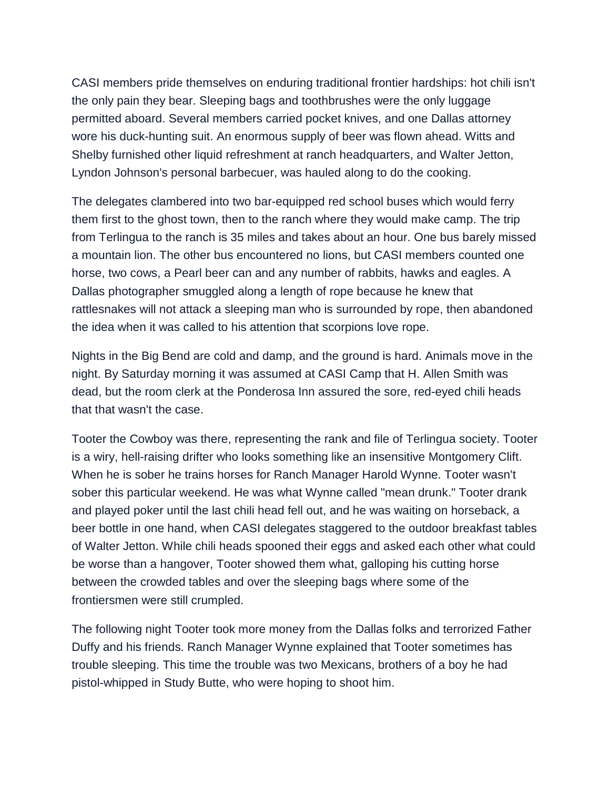CASI members pride themselves on enduring traditional frontier hardships: hot chili isn't the only pain they bear. Sleeping bags and toothbrushes were the only luggage permitted aboard. Several members carried pocket knives, and one Dallas attorney wore his duck-hunting suit. An enormous supply of beer was flown ahead. Witts and Shelby furnished other liquid refreshment at ranch headquarters, and Walter Jetton, Lyndon Johnson's personal barbecuer, was hauled along to do the cooking.

The delegates clambered into two bar-equipped red school buses which would ferry them first to the ghost town, then to the ranch where they would make camp. The trip from Terlingua to the ranch is 35 miles and takes about an hour. One bus barely missed a mountain lion. The other bus encountered no lions, but CASI members counted one horse, two cows, a Pearl beer can and any number of rabbits, hawks and eagles. A Dallas photographer smuggled along a length of rope because he knew that rattlesnakes will not attack a sleeping man who is surrounded by rope, then abandoned the idea when it was called to his attention that scorpions love rope.

Nights in the Big Bend are cold and damp, and the ground is hard. Animals move in the night. By Saturday morning it was assumed at CASI Camp that H. Allen Smith was dead, but the room clerk at the Ponderosa Inn assured the sore, red-eyed chili heads that that wasn't the case.

Tooter the Cowboy was there, representing the rank and file of Terlingua society. Tooter is a wiry, hell-raising drifter who looks something like an insensitive Montgomery Clift. When he is sober he trains horses for Ranch Manager Harold Wynne. Tooter wasn't sober this particular weekend. He was what Wynne called "mean drunk." Tooter drank and played poker until the last chili head fell out, and he was waiting on horseback, a beer bottle in one hand, when CASI delegates staggered to the outdoor breakfast tables of Walter Jetton. While chili heads spooned their eggs and asked each other what could be worse than a hangover, Tooter showed them what, galloping his cutting horse between the crowded tables and over the sleeping bags where some of the frontiersmen were still crumpled.

The following night Tooter took more money from the Dallas folks and terrorized Father Duffy and his friends. Ranch Manager Wynne explained that Tooter sometimes has trouble sleeping. This time the trouble was two Mexicans, brothers of a boy he had pistol-whipped in Study Butte, who were hoping to shoot him.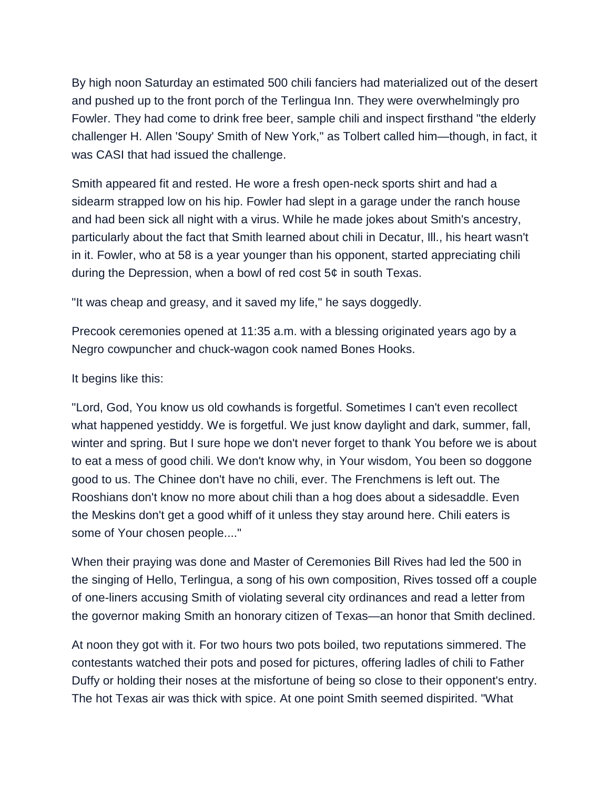By high noon Saturday an estimated 500 chili fanciers had materialized out of the desert and pushed up to the front porch of the Terlingua Inn. They were overwhelmingly pro Fowler. They had come to drink free beer, sample chili and inspect firsthand "the elderly challenger H. Allen 'Soupy' Smith of New York," as Tolbert called him—though, in fact, it was CASI that had issued the challenge.

Smith appeared fit and rested. He wore a fresh open-neck sports shirt and had a sidearm strapped low on his hip. Fowler had slept in a garage under the ranch house and had been sick all night with a virus. While he made jokes about Smith's ancestry, particularly about the fact that Smith learned about chili in Decatur, Ill., his heart wasn't in it. Fowler, who at 58 is a year younger than his opponent, started appreciating chili during the Depression, when a bowl of red cost 5¢ in south Texas.

"It was cheap and greasy, and it saved my life," he says doggedly.

Precook ceremonies opened at 11:35 a.m. with a blessing originated years ago by a Negro cowpuncher and chuck-wagon cook named Bones Hooks.

It begins like this:

"Lord, God, You know us old cowhands is forgetful. Sometimes I can't even recollect what happened yestiddy. We is forgetful. We just know daylight and dark, summer, fall, winter and spring. But I sure hope we don't never forget to thank You before we is about to eat a mess of good chili. We don't know why, in Your wisdom, You been so doggone good to us. The Chinee don't have no chili, ever. The Frenchmens is left out. The Rooshians don't know no more about chili than a hog does about a sidesaddle. Even the Meskins don't get a good whiff of it unless they stay around here. Chili eaters is some of Your chosen people...."

When their praying was done and Master of Ceremonies Bill Rives had led the 500 in the singing of Hello, Terlingua, a song of his own composition, Rives tossed off a couple of one-liners accusing Smith of violating several city ordinances and read a letter from the governor making Smith an honorary citizen of Texas—an honor that Smith declined.

At noon they got with it. For two hours two pots boiled, two reputations simmered. The contestants watched their pots and posed for pictures, offering ladles of chili to Father Duffy or holding their noses at the misfortune of being so close to their opponent's entry. The hot Texas air was thick with spice. At one point Smith seemed dispirited. "What